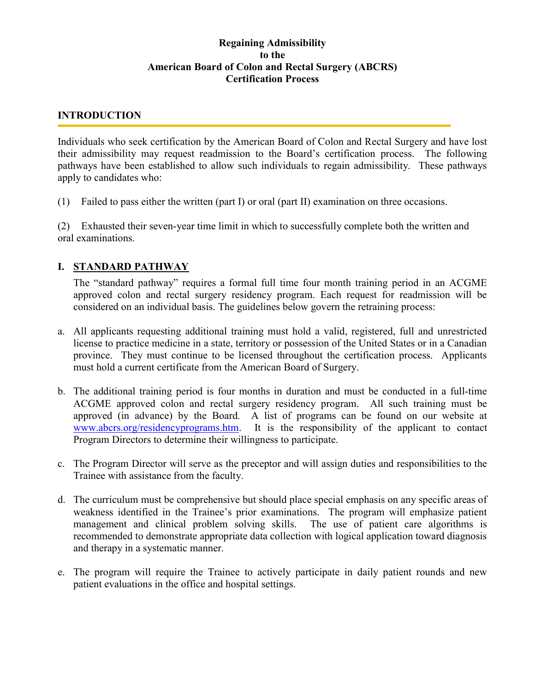## Regaining Admissibility to the American Board of Colon and Rectal Surgery (ABCRS) Certification Process

## INTRODUCTION

Individuals who seek certification by the American Board of Colon and Rectal Surgery and have lost their admissibility may request readmission to the Board's certification process. The following pathways have been established to allow such individuals to regain admissibility. These pathways apply to candidates who:

(1) Failed to pass either the written (part I) or oral (part II) examination on three occasions.

(2) Exhausted their seven-year time limit in which to successfully complete both the written and oral examinations.

## I. STANDARD PATHWAY

The "standard pathway" requires a formal full time four month training period in an ACGME approved colon and rectal surgery residency program. Each request for readmission will be considered on an individual basis. The guidelines below govern the retraining process:

- a. All applicants requesting additional training must hold a valid, registered, full and unrestricted license to practice medicine in a state, territory or possession of the United States or in a Canadian province. They must continue to be licensed throughout the certification process. Applicants must hold a current certificate from the American Board of Surgery.
- b. The additional training period is four months in duration and must be conducted in a full-time ACGME approved colon and rectal surgery residency program. All such training must be approved (in advance) by the Board. A list of programs can be found on our website at www.abcrs.org/residencyprograms.htm. It is the responsibility of the applicant to contact Program Directors to determine their willingness to participate.
- c. The Program Director will serve as the preceptor and will assign duties and responsibilities to the Trainee with assistance from the faculty.
- d. The curriculum must be comprehensive but should place special emphasis on any specific areas of weakness identified in the Trainee's prior examinations. The program will emphasize patient management and clinical problem solving skills. The use of patient care algorithms is recommended to demonstrate appropriate data collection with logical application toward diagnosis and therapy in a systematic manner.
- e. The program will require the Trainee to actively participate in daily patient rounds and new patient evaluations in the office and hospital settings.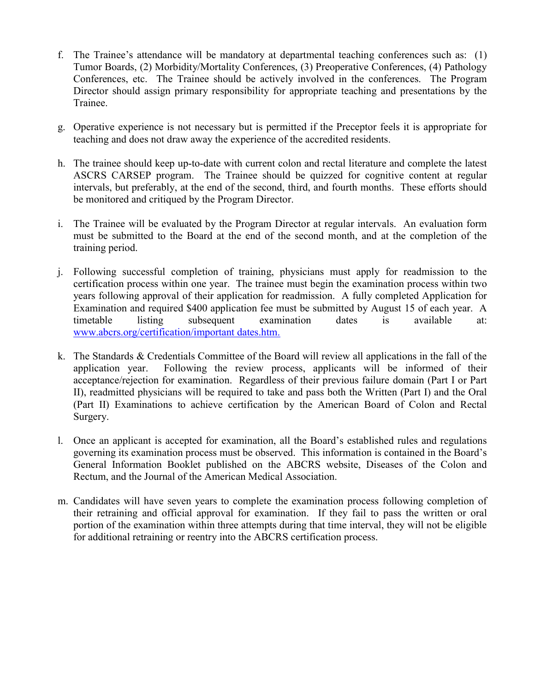- f. The Trainee's attendance will be mandatory at departmental teaching conferences such as: (1) Tumor Boards, (2) Morbidity/Mortality Conferences, (3) Preoperative Conferences, (4) Pathology Conferences, etc. The Trainee should be actively involved in the conferences. The Program Director should assign primary responsibility for appropriate teaching and presentations by the Trainee.
- g. Operative experience is not necessary but is permitted if the Preceptor feels it is appropriate for teaching and does not draw away the experience of the accredited residents.
- h. The trainee should keep up-to-date with current colon and rectal literature and complete the latest ASCRS CARSEP program. The Trainee should be quizzed for cognitive content at regular intervals, but preferably, at the end of the second, third, and fourth months. These efforts should be monitored and critiqued by the Program Director.
- i. The Trainee will be evaluated by the Program Director at regular intervals. An evaluation form must be submitted to the Board at the end of the second month, and at the completion of the training period.
- j. Following successful completion of training, physicians must apply for readmission to the certification process within one year. The trainee must begin the examination process within two years following approval of their application for readmission. A fully completed Application for Examination and required \$400 application fee must be submitted by August 15 of each year. A timetable listing subsequent examination dates is available at: www.abcrs.org/certification/important dates.htm.
- k. The Standards & Credentials Committee of the Board will review all applications in the fall of the application year. Following the review process, applicants will be informed of their acceptance/rejection for examination. Regardless of their previous failure domain (Part I or Part II), readmitted physicians will be required to take and pass both the Written (Part I) and the Oral (Part II) Examinations to achieve certification by the American Board of Colon and Rectal Surgery.
- l. Once an applicant is accepted for examination, all the Board's established rules and regulations governing its examination process must be observed. This information is contained in the Board's General Information Booklet published on the ABCRS website, Diseases of the Colon and Rectum, and the Journal of the American Medical Association.
- m. Candidates will have seven years to complete the examination process following completion of their retraining and official approval for examination. If they fail to pass the written or oral portion of the examination within three attempts during that time interval, they will not be eligible for additional retraining or reentry into the ABCRS certification process.